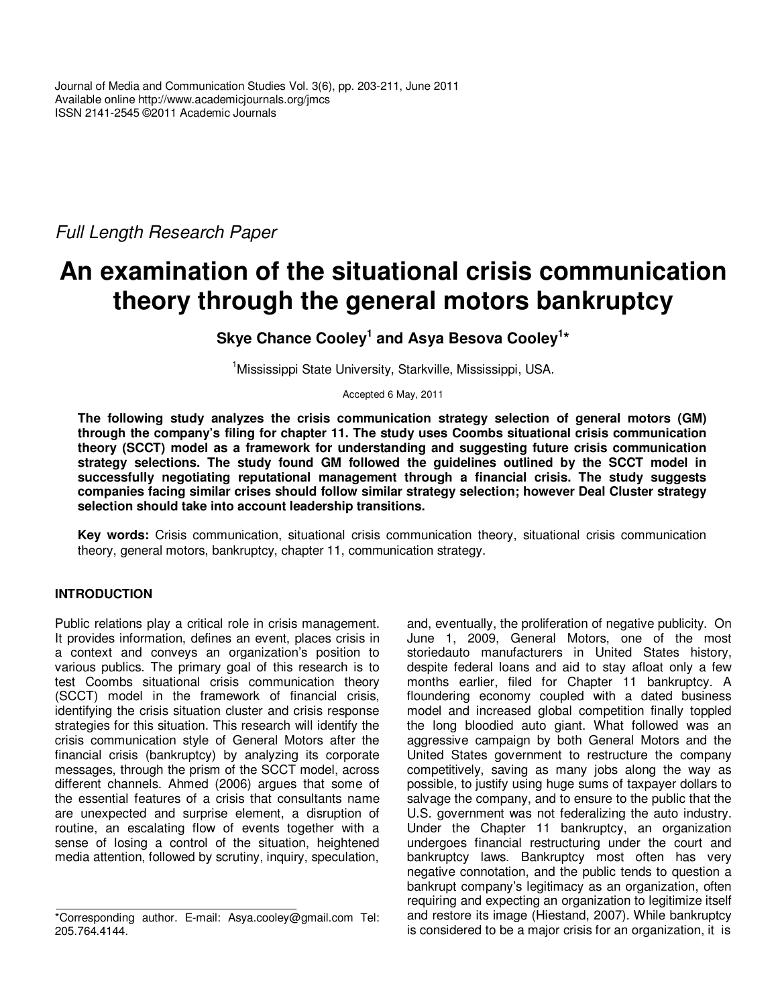Full Length Research Paper

# **An examination of the situational crisis communication theory through the general motors bankruptcy**

**Skye Chance Cooley<sup>1</sup> and Asya Besova Cooley<sup>1</sup> \***

<sup>1</sup>Mississippi State University, Starkville, Mississippi, USA.

Accepted 6 May, 2011

**The following study analyzes the crisis communication strategy selection of general motors (GM) through the company's filing for chapter 11. The study uses Coombs situational crisis communication theory (SCCT) model as a framework for understanding and suggesting future crisis communication strategy selections. The study found GM followed the guidelines outlined by the SCCT model in successfully negotiating reputational management through a financial crisis. The study suggests companies facing similar crises should follow similar strategy selection; however Deal Cluster strategy selection should take into account leadership transitions.** 

**Key words:** Crisis communication, situational crisis communication theory, situational crisis communication theory, general motors, bankruptcy, chapter 11, communication strategy.

# **INTRODUCTION**

Public relations play a critical role in crisis management. It provides information, defines an event, places crisis in a context and conveys an organization's position to various publics. The primary goal of this research is to test Coombs situational crisis communication theory (SCCT) model in the framework of financial crisis, identifying the crisis situation cluster and crisis response strategies for this situation. This research will identify the crisis communication style of General Motors after the financial crisis (bankruptcy) by analyzing its corporate messages, through the prism of the SCCT model, across different channels. Ahmed (2006) argues that some of the essential features of a crisis that consultants name are unexpected and surprise element, a disruption of routine, an escalating flow of events together with a sense of losing a control of the situation, heightened media attention, followed by scrutiny, inquiry, speculation,

and, eventually, the proliferation of negative publicity. On June 1, 2009, General Motors, one of the most storiedauto manufacturers in United States history, despite federal loans and aid to stay afloat only a few months earlier, filed for Chapter 11 bankruptcy. A floundering economy coupled with a dated business model and increased global competition finally toppled the long bloodied auto giant. What followed was an aggressive campaign by both General Motors and the United States government to restructure the company competitively, saving as many jobs along the way as possible, to justify using huge sums of taxpayer dollars to salvage the company, and to ensure to the public that the U.S. government was not federalizing the auto industry. Under the Chapter 11 bankruptcy, an organization undergoes financial restructuring under the court and bankruptcy laws. Bankruptcy most often has very negative connotation, and the public tends to question a bankrupt company's legitimacy as an organization, often requiring and expecting an organization to legitimize itself and restore its image (Hiestand, 2007). While bankruptcy is considered to be a major crisis for an organization, it is

<sup>\*</sup>Corresponding author. E-mail: Asya.cooley@gmail.com Tel: 205.764.4144.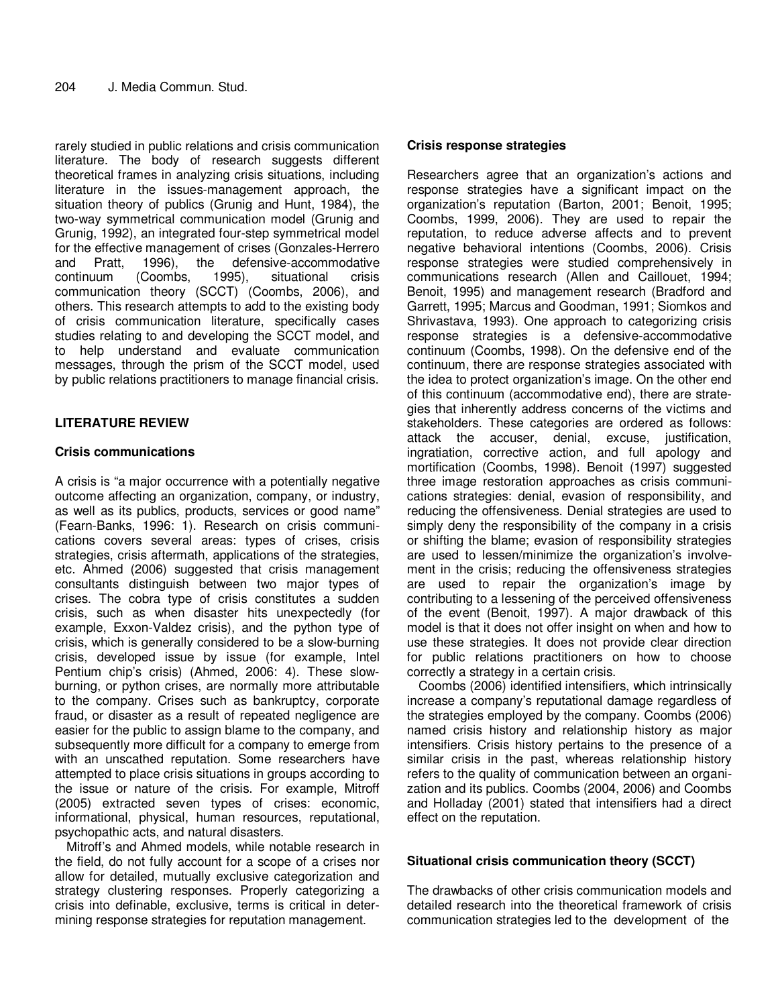rarely studied in public relations and crisis communication literature. The body of research suggests different theoretical frames in analyzing crisis situations, including literature in the issues-management approach, the situation theory of publics (Grunig and Hunt, 1984), the two-way symmetrical communication model (Grunig and Grunig, 1992), an integrated four-step symmetrical model for the effective management of crises (Gonzales-Herrero and Pratt, 1996), the defensive-accommodative continuum (Coombs, 1995), situational crisis communication theory (SCCT) (Coombs, 2006), and others. This research attempts to add to the existing body of crisis communication literature, specifically cases studies relating to and developing the SCCT model, and to help understand and evaluate communication messages, through the prism of the SCCT model, used by public relations practitioners to manage financial crisis.

# **LITERATURE REVIEW**

## **Crisis communications**

A crisis is "a major occurrence with a potentially negative outcome affecting an organization, company, or industry, as well as its publics, products, services or good name" (Fearn-Banks, 1996: 1). Research on crisis communications covers several areas: types of crises, crisis strategies, crisis aftermath, applications of the strategies, etc. Ahmed (2006) suggested that crisis management consultants distinguish between two major types of crises. The cobra type of crisis constitutes a sudden crisis, such as when disaster hits unexpectedly (for example, Exxon-Valdez crisis), and the python type of crisis, which is generally considered to be a slow-burning crisis, developed issue by issue (for example, Intel Pentium chip's crisis) (Ahmed, 2006: 4). These slowburning, or python crises, are normally more attributable to the company. Crises such as bankruptcy, corporate fraud, or disaster as a result of repeated negligence are easier for the public to assign blame to the company, and subsequently more difficult for a company to emerge from with an unscathed reputation. Some researchers have attempted to place crisis situations in groups according to the issue or nature of the crisis. For example, Mitroff (2005) extracted seven types of crises: economic, informational, physical, human resources, reputational, psychopathic acts, and natural disasters.

Mitroff's and Ahmed models, while notable research in the field, do not fully account for a scope of a crises nor allow for detailed, mutually exclusive categorization and strategy clustering responses. Properly categorizing a crisis into definable, exclusive, terms is critical in determining response strategies for reputation management.

## **Crisis response strategies**

Researchers agree that an organization's actions and response strategies have a significant impact on the organization's reputation (Barton, 2001; Benoit, 1995; Coombs, 1999, 2006). They are used to repair the reputation, to reduce adverse affects and to prevent negative behavioral intentions (Coombs, 2006). Crisis response strategies were studied comprehensively in communications research (Allen and Caillouet, 1994; Benoit, 1995) and management research (Bradford and Garrett, 1995; Marcus and Goodman, 1991; Siomkos and Shrivastava, 1993). One approach to categorizing crisis response strategies is a defensive-accommodative continuum (Coombs, 1998). On the defensive end of the continuum, there are response strategies associated with the idea to protect organization's image. On the other end of this continuum (accommodative end), there are strategies that inherently address concerns of the victims and stakeholders. These categories are ordered as follows: attack the accuser, denial, excuse, justification, ingratiation, corrective action, and full apology and mortification (Coombs, 1998). Benoit (1997) suggested three image restoration approaches as crisis communications strategies: denial, evasion of responsibility, and reducing the offensiveness. Denial strategies are used to simply deny the responsibility of the company in a crisis or shifting the blame; evasion of responsibility strategies are used to lessen/minimize the organization's involvement in the crisis; reducing the offensiveness strategies are used to repair the organization's image by contributing to a lessening of the perceived offensiveness of the event (Benoit, 1997). A major drawback of this model is that it does not offer insight on when and how to use these strategies. It does not provide clear direction for public relations practitioners on how to choose correctly a strategy in a certain crisis.

Coombs (2006) identified intensifiers, which intrinsically increase a company's reputational damage regardless of the strategies employed by the company. Coombs (2006) named crisis history and relationship history as major intensifiers. Crisis history pertains to the presence of a similar crisis in the past, whereas relationship history refers to the quality of communication between an organization and its publics. Coombs (2004, 2006) and Coombs and Holladay (2001) stated that intensifiers had a direct effect on the reputation.

## **Situational crisis communication theory (SCCT)**

The drawbacks of other crisis communication models and detailed research into the theoretical framework of crisis communication strategies led to the development of the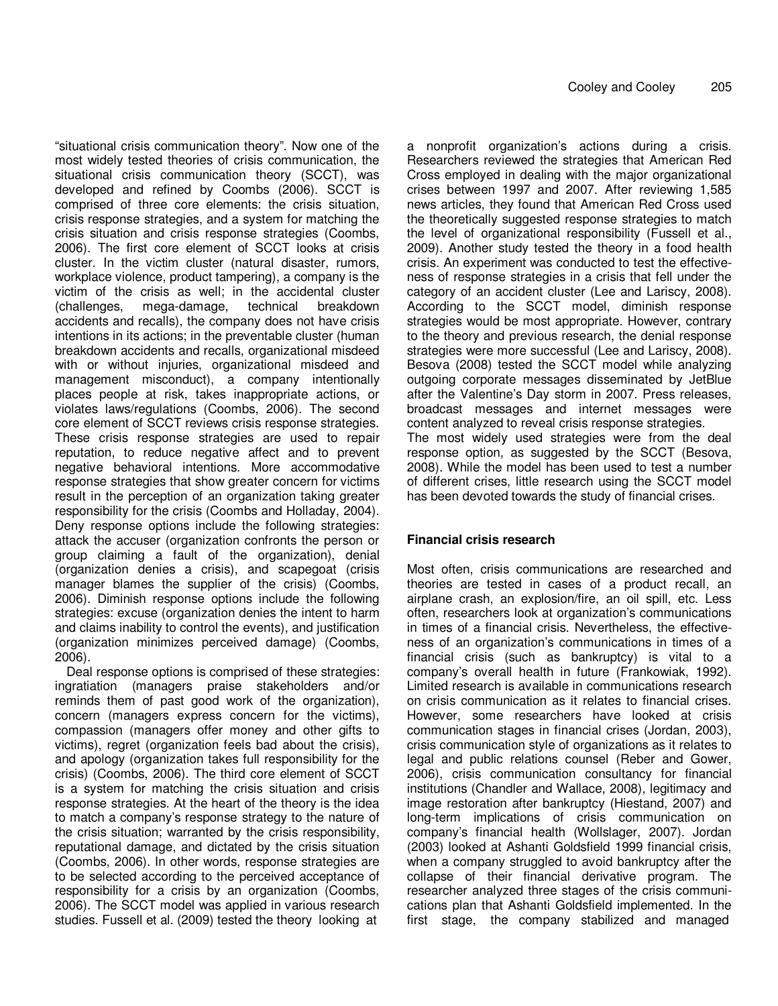"situational crisis communication theory". Now one of the most widely tested theories of crisis communication, the situational crisis communication theory (SCCT), was developed and refined by Coombs (2006). SCCT is comprised of three core elements: the crisis situation, crisis response strategies, and a system for matching the crisis situation and crisis response strategies (Coombs, 2006). The first core element of SCCT looks at crisis cluster. In the victim cluster (natural disaster, rumors, workplace violence, product tampering), a company is the victim of the crisis as well; in the accidental cluster (challenges, mega-damage, technical breakdown accidents and recalls), the company does not have crisis intentions in its actions; in the preventable cluster (human breakdown accidents and recalls, organizational misdeed with or without injuries, organizational misdeed and management misconduct), a company intentionally places people at risk, takes inappropriate actions, or violates laws/regulations (Coombs, 2006). The second core element of SCCT reviews crisis response strategies. These crisis response strategies are used to repair reputation, to reduce negative affect and to prevent negative behavioral intentions. More accommodative response strategies that show greater concern for victims result in the perception of an organization taking greater responsibility for the crisis (Coombs and Holladay, 2004). Deny response options include the following strategies: attack the accuser (organization confronts the person or group claiming a fault of the organization), denial (organization denies a crisis), and scapegoat (crisis manager blames the supplier of the crisis) (Coombs, 2006). Diminish response options include the following strategies: excuse (organization denies the intent to harm and claims inability to control the events), and justification (organization minimizes perceived damage) (Coombs, 2006).

Deal response options is comprised of these strategies: ingratiation (managers praise stakeholders and/or reminds them of past good work of the organization), concern (managers express concern for the victims), compassion (managers offer money and other gifts to victims), regret (organization feels bad about the crisis), and apology (organization takes full responsibility for the crisis) (Coombs, 2006). The third core element of SCCT is a system for matching the crisis situation and crisis response strategies. At the heart of the theory is the idea to match a company's response strategy to the nature of the crisis situation; warranted by the crisis responsibility, reputational damage, and dictated by the crisis situation (Coombs, 2006). In other words, response strategies are to be selected according to the perceived acceptance of responsibility for a crisis by an organization (Coombs, 2006). The SCCT model was applied in various research studies. Fussell et al. (2009) tested the theory looking at

a nonprofit organization's actions during a crisis. Researchers reviewed the strategies that American Red Cross employed in dealing with the major organizational crises between 1997 and 2007. After reviewing 1,585 news articles, they found that American Red Cross used the theoretically suggested response strategies to match the level of organizational responsibility (Fussell et al., 2009). Another study tested the theory in a food health crisis. An experiment was conducted to test the effectiveness of response strategies in a crisis that fell under the category of an accident cluster (Lee and Lariscy, 2008). According to the SCCT model, diminish response strategies would be most appropriate. However, contrary to the theory and previous research, the denial response strategies were more successful (Lee and Lariscy, 2008). Besova (2008) tested the SCCT model while analyzing outgoing corporate messages disseminated by JetBlue after the Valentine's Day storm in 2007. Press releases, broadcast messages and internet messages were content analyzed to reveal crisis response strategies. The most widely used strategies were from the deal response option, as suggested by the SCCT (Besova, 2008). While the model has been used to test a number of different crises, little research using the SCCT model has been devoted towards the study of financial crises.

## **Financial crisis research**

Most often, crisis communications are researched and theories are tested in cases of a product recall, an airplane crash, an explosion/fire, an oil spill, etc. Less often, researchers look at organization's communications in times of a financial crisis. Nevertheless, the effectiveness of an organization's communications in times of a financial crisis (such as bankruptcy) is vital to a company's overall health in future (Frankowiak, 1992). Limited research is available in communications research on crisis communication as it relates to financial crises. However, some researchers have looked at crisis communication stages in financial crises (Jordan, 2003), crisis communication style of organizations as it relates to legal and public relations counsel (Reber and Gower, 2006), crisis communication consultancy for financial institutions (Chandler and Wallace, 2008), legitimacy and image restoration after bankruptcy (Hiestand, 2007) and long-term implications of crisis communication on company's financial health (Wollslager, 2007). Jordan (2003) looked at Ashanti Goldsfield 1999 financial crisis, when a company struggled to avoid bankruptcy after the collapse of their financial derivative program. The researcher analyzed three stages of the crisis communications plan that Ashanti Goldsfield implemented. In the first stage, the company stabilized and managed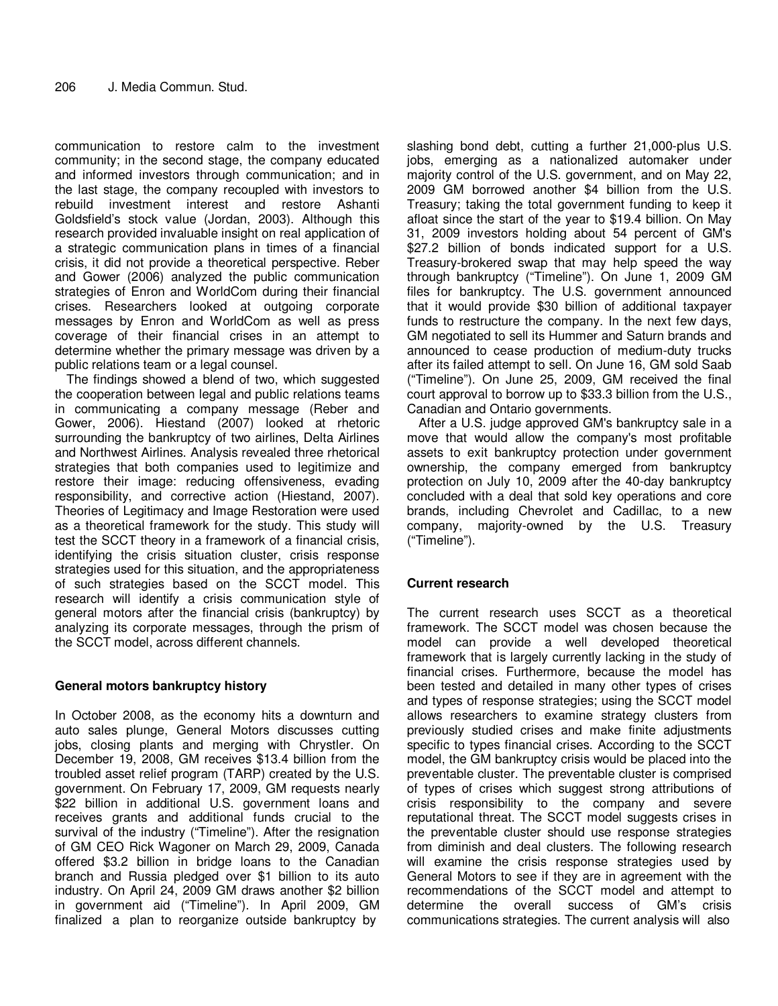communication to restore calm to the investment community; in the second stage, the company educated and informed investors through communication; and in the last stage, the company recoupled with investors to rebuild investment interest and restore Ashanti Goldsfield's stock value (Jordan, 2003). Although this research provided invaluable insight on real application of a strategic communication plans in times of a financial crisis, it did not provide a theoretical perspective. Reber and Gower (2006) analyzed the public communication strategies of Enron and WorldCom during their financial crises. Researchers looked at outgoing corporate messages by Enron and WorldCom as well as press coverage of their financial crises in an attempt to determine whether the primary message was driven by a public relations team or a legal counsel.

The findings showed a blend of two, which suggested the cooperation between legal and public relations teams in communicating a company message (Reber and Gower, 2006). Hiestand (2007) looked at rhetoric surrounding the bankruptcy of two airlines, Delta Airlines and Northwest Airlines. Analysis revealed three rhetorical strategies that both companies used to legitimize and restore their image: reducing offensiveness, evading responsibility, and corrective action (Hiestand, 2007). Theories of Legitimacy and Image Restoration were used as a theoretical framework for the study. This study will test the SCCT theory in a framework of a financial crisis, identifying the crisis situation cluster, crisis response strategies used for this situation, and the appropriateness of such strategies based on the SCCT model. This research will identify a crisis communication style of general motors after the financial crisis (bankruptcy) by analyzing its corporate messages, through the prism of the SCCT model, across different channels.

# **General motors bankruptcy history**

In October 2008, as the economy hits a downturn and auto sales plunge, General Motors discusses cutting jobs, closing plants and merging with Chrystler. On December 19, 2008, GM receives \$13.4 billion from the troubled asset relief program (TARP) created by the U.S. government. On February 17, 2009, GM requests nearly \$22 billion in additional U.S. government loans and receives grants and additional funds crucial to the survival of the industry ("Timeline"). After the resignation of GM CEO Rick Wagoner on March 29, 2009, Canada offered \$3.2 billion in bridge loans to the Canadian branch and Russia pledged over \$1 billion to its auto industry. On April 24, 2009 GM draws another \$2 billion in government aid ("Timeline"). In April 2009, GM finalized a plan to reorganize outside bankruptcy by

slashing bond debt, cutting a further 21,000-plus U.S. jobs, emerging as a nationalized automaker under majority control of the U.S. government, and on May 22, 2009 GM borrowed another \$4 billion from the U.S. Treasury; taking the total government funding to keep it afloat since the start of the year to \$19.4 billion. On May 31, 2009 investors holding about 54 percent of GM's \$27.2 billion of bonds indicated support for a U.S. Treasury-brokered swap that may help speed the way through bankruptcy ("Timeline"). On June 1, 2009 GM files for bankruptcy. The U.S. government announced that it would provide \$30 billion of additional taxpayer funds to restructure the company. In the next few days, GM negotiated to sell its Hummer and Saturn brands and announced to cease production of medium-duty trucks after its failed attempt to sell. On June 16, GM sold Saab ("Timeline"). On June 25, 2009, GM received the final court approval to borrow up to \$33.3 billion from the U.S., Canadian and Ontario governments.

After a U.S. judge approved GM's bankruptcy sale in a move that would allow the company's most profitable assets to exit bankruptcy protection under government ownership, the company emerged from bankruptcy protection on July 10, 2009 after the 40-day bankruptcy concluded with a deal that sold key operations and core brands, including Chevrolet and Cadillac, to a new company, majority-owned by the U.S. Treasury ("Timeline").

# **Current research**

The current research uses SCCT as a theoretical framework. The SCCT model was chosen because the model can provide a well developed theoretical framework that is largely currently lacking in the study of financial crises. Furthermore, because the model has been tested and detailed in many other types of crises and types of response strategies; using the SCCT model allows researchers to examine strategy clusters from previously studied crises and make finite adjustments specific to types financial crises. According to the SCCT model, the GM bankruptcy crisis would be placed into the preventable cluster. The preventable cluster is comprised of types of crises which suggest strong attributions of crisis responsibility to the company and severe reputational threat. The SCCT model suggests crises in the preventable cluster should use response strategies from diminish and deal clusters. The following research will examine the crisis response strategies used by General Motors to see if they are in agreement with the recommendations of the SCCT model and attempt to determine the overall success of GM's crisis communications strategies. The current analysis will also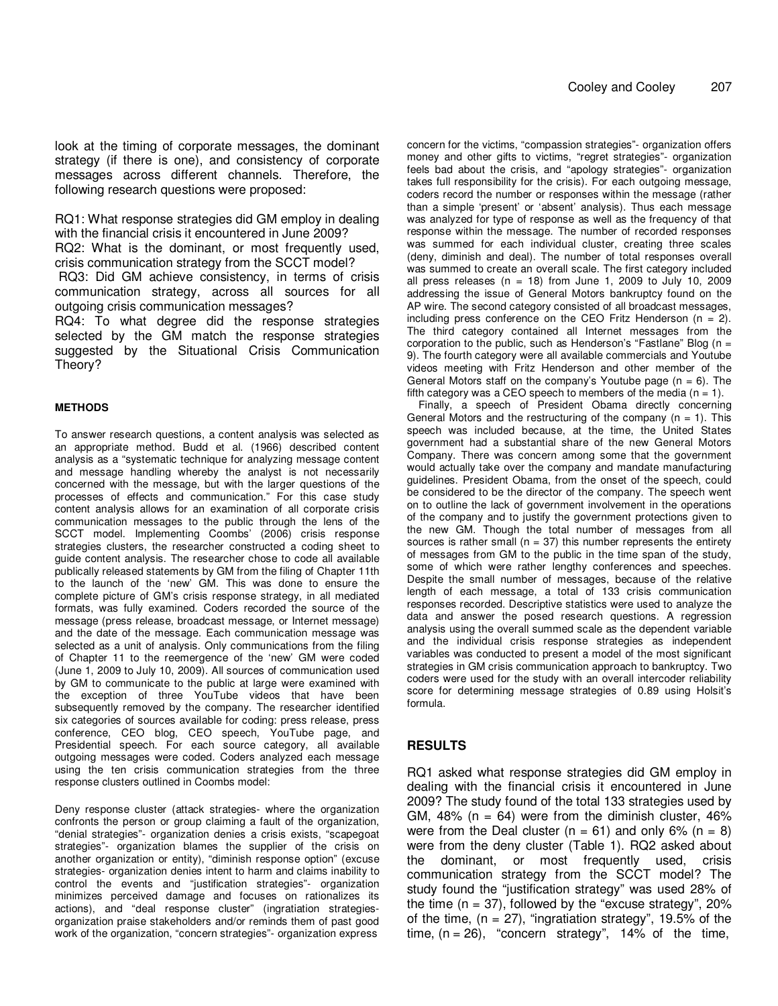look at the timing of corporate messages, the dominant strategy (if there is one), and consistency of corporate messages across different channels. Therefore, the following research questions were proposed:

RQ1: What response strategies did GM employ in dealing with the financial crisis it encountered in June 2009? RQ2: What is the dominant, or most frequently used, crisis communication strategy from the SCCT model?

 RQ3: Did GM achieve consistency, in terms of crisis communication strategy, across all sources for all outgoing crisis communication messages?

RQ4: To what degree did the response strategies selected by the GM match the response strategies suggested by the Situational Crisis Communication Theory?

#### **METHODS**

To answer research questions, a content analysis was selected as an appropriate method. Budd et al. (1966) described content analysis as a "systematic technique for analyzing message content and message handling whereby the analyst is not necessarily concerned with the message, but with the larger questions of the processes of effects and communication." For this case study content analysis allows for an examination of all corporate crisis communication messages to the public through the lens of the SCCT model. Implementing Coombs' (2006) crisis response strategies clusters, the researcher constructed a coding sheet to guide content analysis. The researcher chose to code all available publically released statements by GM from the filing of Chapter 11th to the launch of the 'new' GM. This was done to ensure the complete picture of GM's crisis response strategy, in all mediated formats, was fully examined. Coders recorded the source of the message (press release, broadcast message, or Internet message) and the date of the message. Each communication message was selected as a unit of analysis. Only communications from the filing of Chapter 11 to the reemergence of the 'new' GM were coded (June 1, 2009 to July 10, 2009). All sources of communication used by GM to communicate to the public at large were examined with the exception of three YouTube videos that have been subsequently removed by the company. The researcher identified six categories of sources available for coding: press release, press conference, CEO blog, CEO speech, YouTube page, and Presidential speech. For each source category, all available outgoing messages were coded. Coders analyzed each message using the ten crisis communication strategies from the three response clusters outlined in Coombs model:

Deny response cluster (attack strategies- where the organization confronts the person or group claiming a fault of the organization, "denial strategies"- organization denies a crisis exists, "scapegoat strategies"- organization blames the supplier of the crisis on another organization or entity), "diminish response option" (excuse strategies- organization denies intent to harm and claims inability to control the events and "justification strategies"- organization minimizes perceived damage and focuses on rationalizes its actions), and "deal response cluster" (ingratiation strategiesorganization praise stakeholders and/or reminds them of past good work of the organization, "concern strategies"- organization express

concern for the victims, "compassion strategies"- organization offers money and other gifts to victims, "regret strategies"- organization feels bad about the crisis, and "apology strategies"- organization takes full responsibility for the crisis). For each outgoing message, coders record the number or responses within the message (rather than a simple 'present' or 'absent' analysis). Thus each message was analyzed for type of response as well as the frequency of that response within the message. The number of recorded responses was summed for each individual cluster, creating three scales (deny, diminish and deal). The number of total responses overall was summed to create an overall scale. The first category included all press releases ( $n = 18$ ) from June 1, 2009 to July 10, 2009 addressing the issue of General Motors bankruptcy found on the AP wire. The second category consisted of all broadcast messages, including press conference on the CEO Fritz Henderson  $(n = 2)$ . The third category contained all Internet messages from the corporation to the public, such as Henderson's "Fastlane" Blog  $(n =$ 9). The fourth category were all available commercials and Youtube videos meeting with Fritz Henderson and other member of the General Motors staff on the company's Youtube page  $(n = 6)$ . The fifth category was a CEO speech to members of the media  $(n = 1)$ .

Finally, a speech of President Obama directly concerning General Motors and the restructuring of the company  $(n = 1)$ . This speech was included because, at the time, the United States government had a substantial share of the new General Motors Company. There was concern among some that the government would actually take over the company and mandate manufacturing guidelines. President Obama, from the onset of the speech, could be considered to be the director of the company. The speech went on to outline the lack of government involvement in the operations of the company and to justify the government protections given to the new GM. Though the total number of messages from all sources is rather small ( $n = 37$ ) this number represents the entirety of messages from GM to the public in the time span of the study, some of which were rather lengthy conferences and speeches. Despite the small number of messages, because of the relative length of each message, a total of 133 crisis communication responses recorded. Descriptive statistics were used to analyze the data and answer the posed research questions. A regression analysis using the overall summed scale as the dependent variable and the individual crisis response strategies as independent variables was conducted to present a model of the most significant strategies in GM crisis communication approach to bankruptcy. Two coders were used for the study with an overall intercoder reliability score for determining message strategies of 0.89 using Holsit's formula.

## **RESULTS**

RQ1 asked what response strategies did GM employ in dealing with the financial crisis it encountered in June 2009? The study found of the total 133 strategies used by GM,  $48\%$  (n = 64) were from the diminish cluster,  $46\%$ were from the Deal cluster ( $n = 61$ ) and only 6% ( $n = 8$ ) were from the deny cluster (Table 1). RQ2 asked about the dominant, or most frequently used, crisis communication strategy from the SCCT model? The study found the "justification strategy" was used 28% of the time  $(n = 37)$ , followed by the "excuse strategy", 20% of the time,  $(n = 27)$ , "ingratiation strategy", 19.5% of the time,  $(n = 26)$ , "concern strategy", 14% of the time,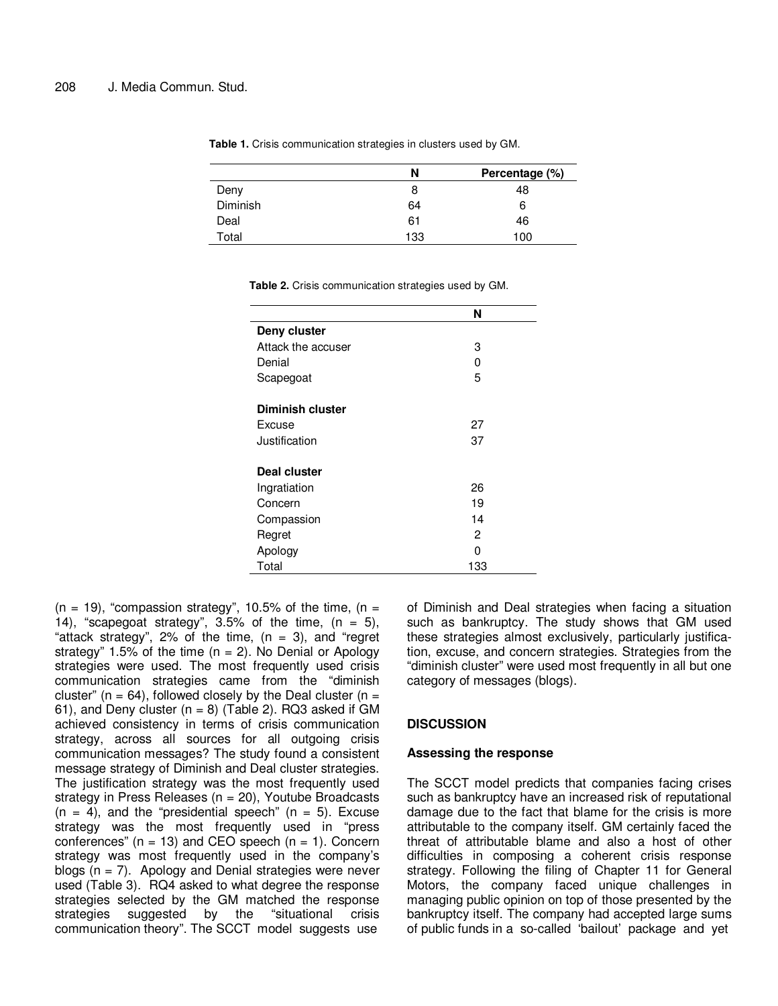| N   | Percentage (%) |
|-----|----------------|
| 8   | 48             |
| 64  | 6              |
| 61  | 46             |
| 133 | 100            |
|     |                |

**Table 1.** Crisis communication strategies in clusters used by GM.

|  | Table 2. Crisis communication strategies used by GM. |  |  |
|--|------------------------------------------------------|--|--|
|  |                                                      |  |  |

|                    | N   |
|--------------------|-----|
| Deny cluster       |     |
| Attack the accuser | 3   |
| Denial             | U   |
| Scapegoat          | 5   |
| Diminish cluster   |     |
| Excuse             | 27  |
| Justification      | 37  |
| Deal cluster       |     |
| Ingratiation       | 26  |
| Concern            | 19  |
| Compassion         | 14  |
| Regret             | 2   |
| Apology            | O   |
| Total              | 133 |
|                    |     |

 $(n = 19)$ , "compassion strategy", 10.5% of the time,  $(n = 19)$ 14), "scapegoat strategy", 3.5% of the time,  $(n = 5)$ , "attack strategy", 2% of the time, (n = 3), and "regret strategy" 1.5% of the time  $(n = 2)$ . No Denial or Apology strategies were used. The most frequently used crisis communication strategies came from the "diminish cluster" ( $n = 64$ ), followed closely by the Deal cluster ( $n =$ 61), and Deny cluster  $(n = 8)$  (Table 2). RQ3 asked if GM achieved consistency in terms of crisis communication strategy, across all sources for all outgoing crisis communication messages? The study found a consistent message strategy of Diminish and Deal cluster strategies. The justification strategy was the most frequently used strategy in Press Releases ( $n = 20$ ), Youtube Broadcasts  $(n = 4)$ , and the "presidential speech"  $(n = 5)$ . Excuse strategy was the most frequently used in "press conferences"  $(n = 13)$  and CEO speech  $(n = 1)$ . Concern strategy was most frequently used in the company's blogs  $(n = 7)$ . Apology and Denial strategies were never used (Table 3). RQ4 asked to what degree the response strategies selected by the GM matched the response strategies suggested by the "situational crisis communication theory". The SCCT model suggests use

of Diminish and Deal strategies when facing a situation such as bankruptcy. The study shows that GM used these strategies almost exclusively, particularly justification, excuse, and concern strategies. Strategies from the "diminish cluster" were used most frequently in all but one category of messages (blogs).

#### **DISCUSSION**

#### **Assessing the response**

The SCCT model predicts that companies facing crises such as bankruptcy have an increased risk of reputational damage due to the fact that blame for the crisis is more attributable to the company itself. GM certainly faced the threat of attributable blame and also a host of other difficulties in composing a coherent crisis response strategy. Following the filing of Chapter 11 for General Motors, the company faced unique challenges in managing public opinion on top of those presented by the bankruptcy itself. The company had accepted large sums of public funds in a so-called 'bailout' package and yet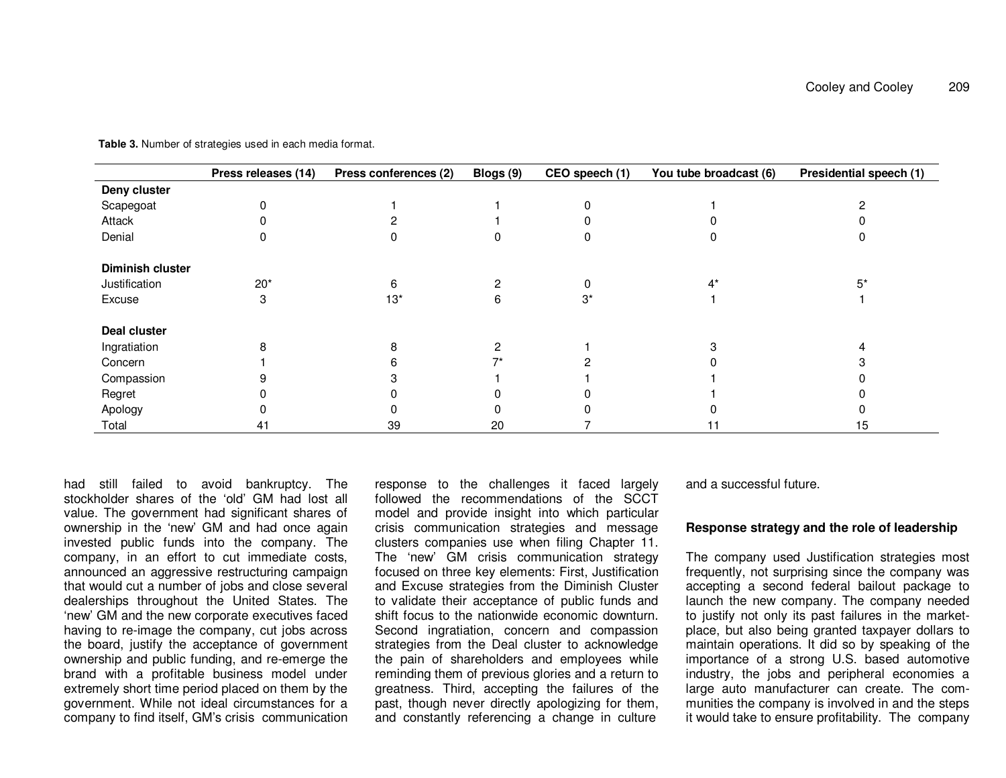|                         | Press releases (14) | Press conferences (2) | Blogs (9) | CEO speech (1) | You tube broadcast (6) | Presidential speech (1) |
|-------------------------|---------------------|-----------------------|-----------|----------------|------------------------|-------------------------|
| Deny cluster            |                     |                       |           |                |                        |                         |
| Scapegoat               |                     |                       |           |                |                        |                         |
| Attack                  |                     |                       |           |                |                        |                         |
| Denial                  |                     |                       |           |                |                        |                         |
| <b>Diminish cluster</b> |                     |                       |           |                |                        |                         |
| Justification           | $20*$               | հ                     |           |                |                        | 5*                      |
| Excuse                  |                     | $13*$                 | 6         | 3*             |                        |                         |
| Deal cluster            |                     |                       |           |                |                        |                         |
| Ingratiation            |                     |                       |           |                |                        |                         |
| Concern                 |                     |                       |           |                |                        |                         |
| Compassion              |                     |                       |           |                |                        |                         |
| Regret                  |                     |                       |           |                |                        |                         |
| Apology                 |                     |                       |           |                |                        |                         |
| Total                   | 41                  | 39                    | 20        |                |                        | 15                      |

**Table 3.** Number of strategies used in each media format.

had still failed to avoid bankruptcy. The stockholder shares of the 'old' GM had lost all value. The government had significant shares of ownership in the 'new' GM and had once again invested public funds into the company. The company, in an effort to cut immediate costs, announced an aggressive restructuring campaign that would cut a number of jobs and close several dealerships throughout the United States. The 'new' GM and the new corporate executives faced having to re-image the company, cut jobs across the board, justify the acceptance of government ownership and public funding, and re-emerge the brand with a profitable business model under extremely short time period placed on them by the government. While not ideal circumstances for a company to find itself, GM's crisis communication response to the challenges it faced largely followed the recommendations of the SCCT model and provide insight into which particular crisis communication strategies and message clusters companies use when filing Chapter 11. The 'new' GM crisis communication strategy focused on three key elements: First, Justification and Excuse strategies from the Diminish Cluster to validate their acceptance of public funds and shift focus to the nationwide economic downturn. Second ingratiation, concern and compassion strategies from the Deal cluster to acknowledge the pain of shareholders and employees while reminding them of previous glories and a return to greatness. Third, accepting the failures of the past, though never directly apologizing for them, and constantly referencing a change in culture

and a successful future.

#### **Response strategy and the role of leadership**

The company used Justification strategies most frequently, not surprising since the company was accepting a second federal bailout package to launch the new company. The company needed to justify not only its past failures in the marketplace, but also being granted taxpayer dollars to maintain operations. It did so by speaking of the importance of a strong U.S. based automotive industry, the jobs and peripheral economies a large auto manufacturer can create. The communities the company is involved in and the steps it would take to ensure profitability. The company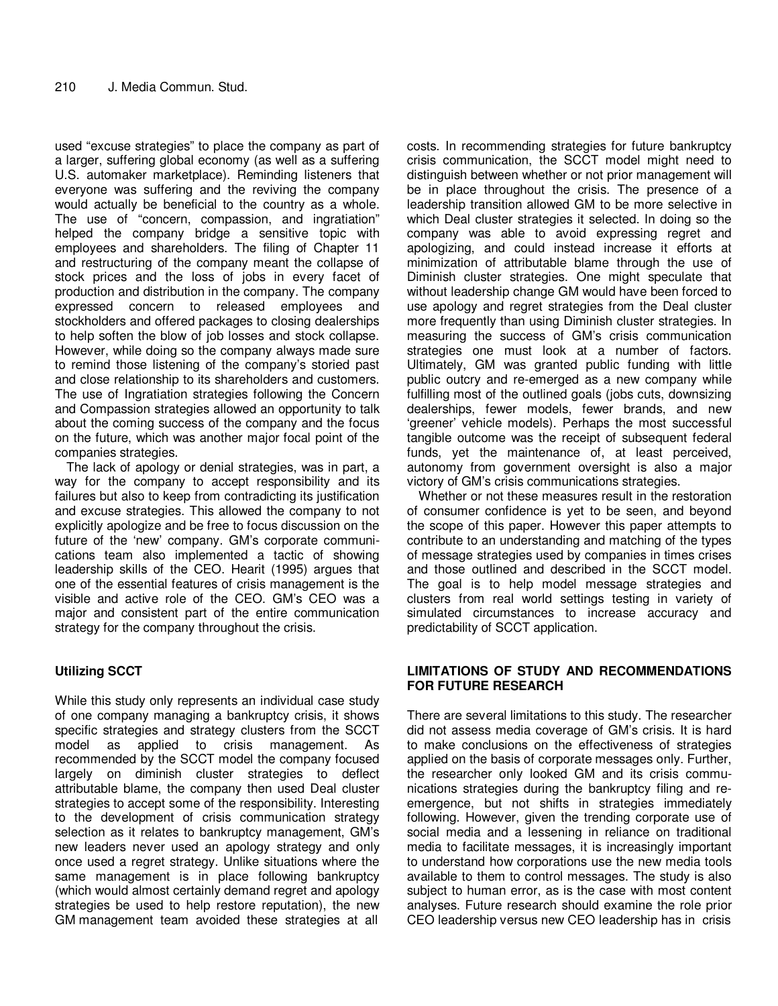used "excuse strategies" to place the company as part of a larger, suffering global economy (as well as a suffering U.S. automaker marketplace). Reminding listeners that everyone was suffering and the reviving the company would actually be beneficial to the country as a whole. The use of "concern, compassion, and ingratiation" helped the company bridge a sensitive topic with employees and shareholders. The filing of Chapter 11 and restructuring of the company meant the collapse of stock prices and the loss of jobs in every facet of production and distribution in the company. The company expressed concern to released employees and stockholders and offered packages to closing dealerships to help soften the blow of job losses and stock collapse. However, while doing so the company always made sure to remind those listening of the company's storied past and close relationship to its shareholders and customers. The use of Ingratiation strategies following the Concern and Compassion strategies allowed an opportunity to talk about the coming success of the company and the focus on the future, which was another major focal point of the companies strategies.

The lack of apology or denial strategies, was in part, a way for the company to accept responsibility and its failures but also to keep from contradicting its justification and excuse strategies. This allowed the company to not explicitly apologize and be free to focus discussion on the future of the 'new' company. GM's corporate communications team also implemented a tactic of showing leadership skills of the CEO. Hearit (1995) argues that one of the essential features of crisis management is the visible and active role of the CEO. GM's CEO was a major and consistent part of the entire communication strategy for the company throughout the crisis.

# **Utilizing SCCT**

While this study only represents an individual case study of one company managing a bankruptcy crisis, it shows specific strategies and strategy clusters from the SCCT model as applied to crisis management. As recommended by the SCCT model the company focused largely on diminish cluster strategies to deflect attributable blame, the company then used Deal cluster strategies to accept some of the responsibility. Interesting to the development of crisis communication strategy selection as it relates to bankruptcy management, GM's new leaders never used an apology strategy and only once used a regret strategy. Unlike situations where the same management is in place following bankruptcy (which would almost certainly demand regret and apology strategies be used to help restore reputation), the new GM management team avoided these strategies at all

costs. In recommending strategies for future bankruptcy crisis communication, the SCCT model might need to distinguish between whether or not prior management will be in place throughout the crisis. The presence of a leadership transition allowed GM to be more selective in which Deal cluster strategies it selected. In doing so the company was able to avoid expressing regret and apologizing, and could instead increase it efforts at minimization of attributable blame through the use of Diminish cluster strategies. One might speculate that without leadership change GM would have been forced to use apology and regret strategies from the Deal cluster more frequently than using Diminish cluster strategies. In measuring the success of GM's crisis communication strategies one must look at a number of factors. Ultimately, GM was granted public funding with little public outcry and re-emerged as a new company while fulfilling most of the outlined goals (jobs cuts, downsizing dealerships, fewer models, fewer brands, and new 'greener' vehicle models). Perhaps the most successful tangible outcome was the receipt of subsequent federal funds, yet the maintenance of, at least perceived, autonomy from government oversight is also a major victory of GM's crisis communications strategies.

Whether or not these measures result in the restoration of consumer confidence is yet to be seen, and beyond the scope of this paper. However this paper attempts to contribute to an understanding and matching of the types of message strategies used by companies in times crises and those outlined and described in the SCCT model. The goal is to help model message strategies and clusters from real world settings testing in variety of simulated circumstances to increase accuracy and predictability of SCCT application.

# **LIMITATIONS OF STUDY AND RECOMMENDATIONS FOR FUTURE RESEARCH**

There are several limitations to this study. The researcher did not assess media coverage of GM's crisis. It is hard to make conclusions on the effectiveness of strategies applied on the basis of corporate messages only. Further, the researcher only looked GM and its crisis communications strategies during the bankruptcy filing and reemergence, but not shifts in strategies immediately following. However, given the trending corporate use of social media and a lessening in reliance on traditional media to facilitate messages, it is increasingly important to understand how corporations use the new media tools available to them to control messages. The study is also subject to human error, as is the case with most content analyses. Future research should examine the role prior CEO leadership versus new CEO leadership has in crisis